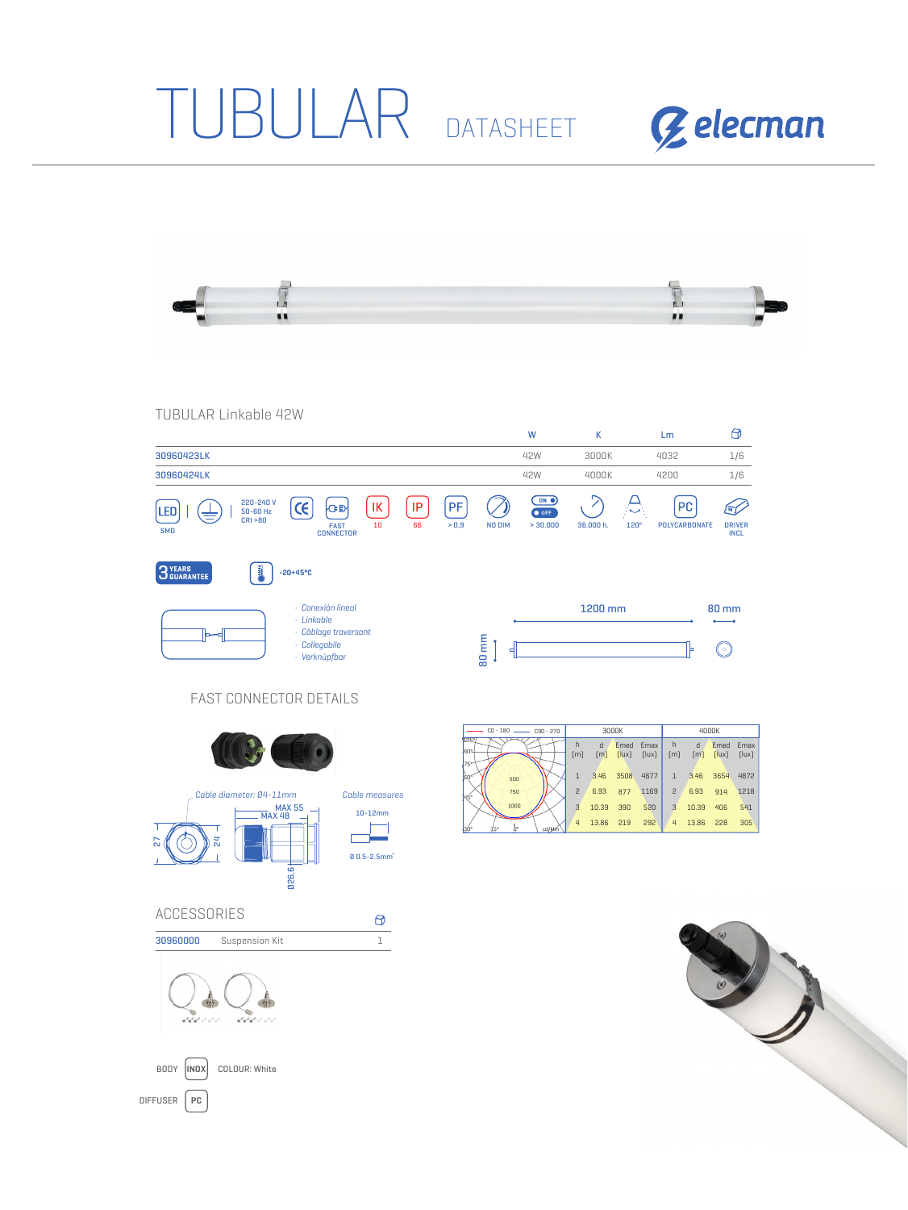## TUBULAR DATASHEET





TUBULAR Linkable 42W

**COLOUR:** White

DIFFUSER **PC**

BODY |INOX